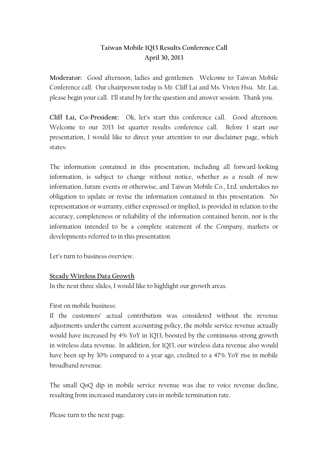# **Taiwan Mobile 1Q13 Results Conference Call April 30, 2013**

**Moderator:** Good afternoon, ladies and gentlemen. Welcome to Taiwan Mobile Conference call. Our chairperson today is Mr. Cliff Lai and Ms. Vivien Hsu. Mr. Lai, please begin your call. I'll stand by for the question and answer session. Thank you.

**Cliff Lai, Co-President:** Ok, let's start this conference call.Good afternoon. Welcome to our 2013 1st quarter results conference call. Before I start our presentation, I would like to direct your attention to our disclaimer page, which states:

The information contained in this presentation, including all forward-looking information, is subject to change without notice, whether as a result of new information, future events or otherwise, and Taiwan Mobile Co., Ltd. undertakes no obligation to update or revise the information contained in this presentation. No representation or warranty, either expressed or implied, is provided in relation to the accuracy, completeness or reliability of the information contained herein, nor is the information intended to be a complete statement of the Company, markets or developments referred to in this presentation.

Let's turn to business overview.

#### **Steady Wireless Data Growth**

In the next three slides, I would like to highlight our growth areas.

First on mobile business:

If the customers' actual contribution was considered without the revenue adjustments underthe current accounting policy, the mobile service revenue actually would have increased by 4% YoY in 1Q13, boosted by the continuous strong growth in wireless data revenue. In addition, for 1Q13, our wireless data revenue also would have been up by 30% compared to a year ago, credited to a 47% YoY rise in mobile broadband revenue.

The small QoQ dip in mobile service revenue was due to voice revenue decline, resulting from increased mandatory cuts in mobile termination rate.

Please turn to the next page.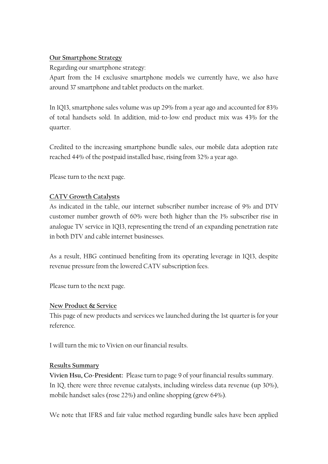#### **Our Smartphone Strategy**

Regarding our smartphone strategy:

Apart from the 14 exclusive smartphone models we currently have, we also have around 37 smartphone and tablet products on the market.

In 1Q13, smartphone sales volume was up 29% from a year ago and accounted for 83% of total handsets sold. In addition, mid-to-low end product mix was 43% for the quarter.

Credited to the increasing smartphone bundle sales, our mobile data adoption rate reached 44% of the postpaid installed base, rising from 32% a year ago.

Please turn to the next page.

## **CATV Growth Catalysts**

As indicated in the table, our internet subscriber number increase of 9% and DTV customer number growth of 60% were both higher than the 1% subscriber rise in analogue TV service in 1Q13, representing the trend of an expanding penetration rate in both DTV and cable internet businesses.

As a result, HBG continued benefiting from its operating leverage in 1Q13, despite revenue pressure from the lowered CATV subscription fees.

Please turn to the next page.

## **New Product & Service**

This page of new products and services we launched during the 1st quarter is for your reference.

I will turn the mic to Vivien on our financial results.

## **Results Summary**

**Vivien Hsu, Co-President:** Please turn to page 9 of your financial results summary. In 1Q, there were three revenue catalysts, including wireless data revenue (up 30%), mobile handset sales (rose 22%) and online shopping (grew 64%).

We note that IFRS and fair value method regarding bundle sales have been applied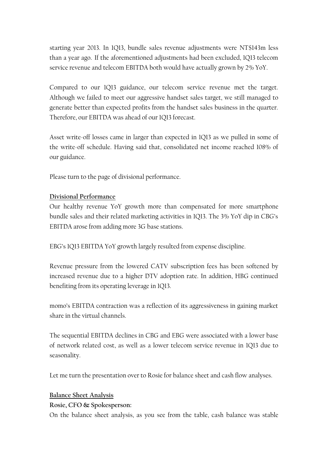starting year 2013. In 1Q13, bundle sales revenue adjustments were NT\$143m less than a year ago. If the aforementioned adjustments had been excluded, 1Q13 telecom service revenue and telecom EBITDA both would have actually grown by 2% YoY.

Compared to our 1Q13 guidance, our telecom service revenue met the target. Although we failed to meet our aggressive handset sales target, we still managed to generate better than expected profits from the handset sales business in the quarter. Therefore, our EBITDA was ahead of our 1Q13 forecast.

Asset write-off losses came in larger than expected in 1Q13 as we pulled in some of the write-off schedule. Having said that, consolidated net income reached 108% of our guidance.

Please turn to the page of divisional performance.

#### **Divisional Performance**

Our healthy revenue YoY growth more than compensated for more smartphone bundle sales and their related marketing activities in 1Q13. The 3% YoY dip in CBG's EBITDA arose from adding more 3G base stations.

EBG's 1Q13 EBITDA YoY growth largely resulted from expense discipline.

Revenue pressure from the lowered CATV subscription fees has been softened by increased revenue due to a higher DTV adoption rate. In addition, HBG continued benefiting from its operating leverage in 1Q13.

momo's EBITDA contraction was a reflection of its aggressiveness in gaining market share in the virtual channels.

The sequential EBITDA declines in CBG and EBG were associated with a lower base of network related cost, as well as a lower telecom service revenue in 1Q13 due to seasonality.

Let me turn the presentation over to Rosie for balance sheet and cash flow analyses.

#### **Balance Sheet Analysis**

**Rosie, CFO & Spokesperson:**

On the balance sheet analysis, as you see from the table, cash balance was stable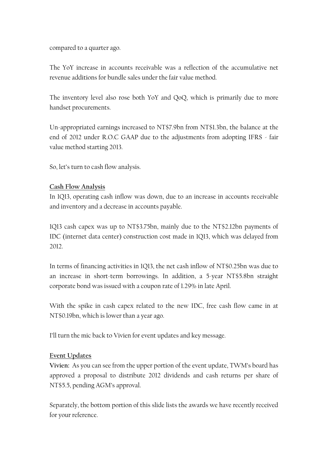compared to a quarter ago.

The YoY increase in accounts receivable was a reflection of the accumulative net revenue additions for bundle sales under the fair value method.

The inventory level also rose both YoY and QoQ, which is primarily due to more handset procurements.

Un-appropriated earnings increased to NT\$7.9bn from NT\$1.3bn, the balance at the end of 2012 under R.O.C GAAP due to the adjustments from adopting IFRS - fair value method starting 2013.

So, let's turn to cash flow analysis.

## **Cash Flow Analysis**

In 1Q13, operating cash inflow was down, due to an increase in accounts receivable and inventory and a decrease in accounts payable.

1Q13 cash capex was up to NT\$3.75bn, mainly due to the NT\$2.12bn payments of IDC (internet data center) construction cost made in 1Q13, which was delayed from 2012.

In terms of financing activities in 1Q13, the net cash inflow of NT\$0.25bn was due to an increase in short-term borrowings. In addition, a 5-year NT\$5.8bn straight corporate bond was issued with a coupon rate of 1.29% in late April.

With the spike in cash capex related to the new IDC, free cash flow came in at NT\$0.19bn, which is lower than a year ago.

I'll turn the mic back to Vivien for event updates and key message.

## **Event Updates**

**Vivien:** As you can see from the upper portion of the event update, TWM's board has approved a proposal to distribute 2012 dividends and cash returns per share of NT\$5.5, pending AGM's approval.

Separately, the bottom portion of this slide lists the awards we have recently received for your reference.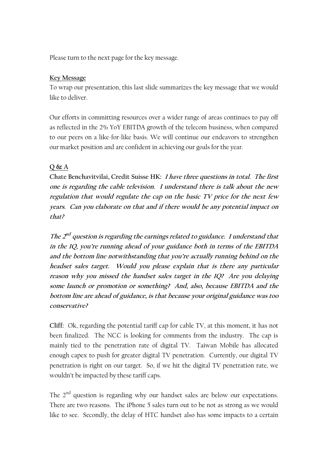Please turn to the next page for the key message.

#### **Key Message**

To wrap our presentation, this last slide summarizes the key message that we would like to deliver.

Our efforts in committing resources over a wider range of areas continues to pay off as reflected in the 2% YoY EBITDA growth of the telecom business, when compared to our peers on a like-for-like basis. We will continue our endeavors to strengthen our market position and are confident in achieving our goals for the year.

## **Q & A**

**Chate Benchavitvilai, Credit Suisse HK: I have three questions in total. The first one is regarding the cable television. I understand there is talk about the new regulation that would regulate the cap on the basic TV price for the next few years. Can you elaborate on that and if there would be any potential impact on that?**

The 2<sup>nd</sup> question is regarding the earnings related to guidance. I understand that **in the 1Q, you're running ahead of your guidance both in terms of the EBITDA and the bottom line notwithstanding that you're actually running behind on the headset sales target. Would you please explain that is there any particular reason why you missed the handset sales target in the 1Q? Are you delaying some launch or promotion or something? And, also, because EBITDA and the bottom line are ahead of guidance, is that because your original guidance was too conservative?**

**Cliff:** Ok, regarding the potential tariff cap for cable TV, at this moment, it has not been finalized. The NCC is looking for comments from the industry. The cap is mainly tied to the penetration rate of digital TV. Taiwan Mobile has allocated enough capex to push for greater digital TV penetration. Currently, our digital TV penetration is right on our target. So, if we hit the digital TV penetration rate, we wouldn't be impacted by these tariff caps.

The 2<sup>nd</sup> question is regarding why our handset sales are below our expectations. There are two reasons. The iPhone 5 sales turn out to be not as strong as we would like to see. Secondly, the delay of HTC handset also has some impacts to a certain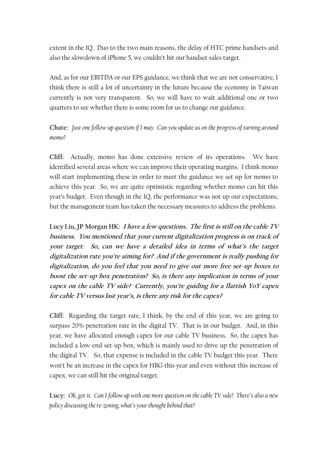extent in the 1Q. Duo to the two main reasons, the delay of HTC prime handsets and also the slowdown of iPhone 5, we couldn't hit our handset sales target.

And, as for our EBITDA or our EPS guidance, we think that we are not conservative, I think there is still a lot of uncertainty in the future because the economy in Taiwan currently is not very transparent. So, we will have to wait additional one or two quarters to see whether there is some room for us to change our guidance.

## **Chate:** *Just one follow-up question if I may. Can you update us on the progress of turning around momo?*

**Cliff:** Actually, momo has done extensive review of its operations. We have identified several areas where we can improve their operating margins. I think momo will start implementing these in order to meet the guidance we set up for momo to achieve this year. So, we are quite optimistic regarding whether momo can hit this year's budget. Even though in the 1Q, the performance was not up our expectations, but the management team has taken the necessary measures to address the problems.

**Lucy Liu, JP Morgan HK: I have a few questions. The first is still on the cable TV business. You mentioned that your current digitalization progress is on track of your target. So, can we have a detailed idea in terms of what's the target digitalization rate you're aiming for? And if the government is really pushing for digitalization, do you feel that you need to give out more free set-up boxes to boost the set-up box penetration? So, is there any implication in terms of your capex on the cable TV side? Currently, you're guiding for a flattish YoY capex for cable TV versus last year's, is there any risk for the capex?**

**Cliff:** Regarding the target rate, I think, by the end of this year, we are going to surpass 20% penetration rate in the digital TV. That is in our budget. And, in this year, we have allocated enough capex for our cable TV business. So, the capex has included a low-end set-up box, which is mainly used to drive up the penetration of the digital TV. So, that expense is included in the cable TV budget this year. There won't be an increase in the capex for HBG this year and even without this increase of capex, we can still hit the original target.

**Lucy:** *Ok, got it. Can I follow up with one more question on the cable TV side? There's also a new policy discussing the re-zoning, what's your thought behind that?*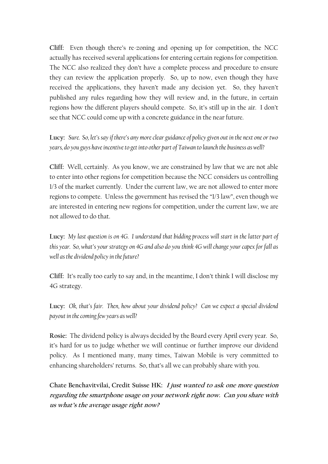**Cliff:** Even though there's re-zoning and opening up for competition, the NCC actually has received several applications for entering certain regions for competition. The NCC also realized they don't have a complete process and procedure to ensure they can review the application properly. So, up to now, even though they have received the applications, they haven't made any decision yet. So, they haven't published any rules regarding how they will review and, in the future, in certain regions how the different players should compete. So, it's still up in the air. I don't see that NCC could come up with a concrete guidance in the near future.

**Lucy:** *Sure. So, let's say if there's any more clear guidance of policy given out in the next one or two years, do you guys have incentive to get into other part of Taiwan to launch the business as well?*

**Cliff:** Well, certainly. As you know, we are constrained by law that we are not able to enter into other regions for competition because the NCC considers us controlling 1/3 of the market currently. Under the current law, we are not allowed to enter more regions to compete. Unless the government has revised the "1/3 law", even though we are interested in entering new regions for competition, under the current law, we are not allowed to do that.

**Lucy:** *My last question is on 4G. I understand that bidding process will start in the latter part of this year. So, what's your strategy on 4G and also do you think 4G will change your capex for fall as well as the dividend policy in the future?*

**Cliff:** It's really too early to say and, in the meantime, I don't think I will disclose my 4G strategy.

**Lucy:** *Ok, that's fair. Then, how about your dividend policy? Can we expect a special dividend payout in the coming few years as well?*

**Rosie:** The dividend policy is always decided by the Board every April every year. So, it's hard for us to judge whether we will continue or further improve our dividend policy. As I mentioned many, many times, Taiwan Mobile is very committed to enhancing shareholders' returns. So, that's all we can probably share with you.

**Chate Benchavitvilai, Credit Suisse HK: I just wanted to ask one more question regarding the smartphone usage on your network right now. Can you share with us what's the average usage right now?**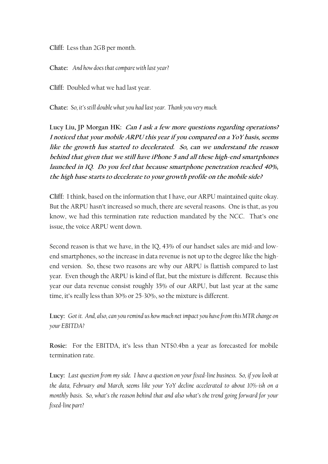**Cliff:** Less than 2GB per month.

**Chate:** *And how does that compare with last year?*

**Cliff:** Doubled what we had last year.

**Chate:** *So, it's still double what you had last year. Thank you very much.*

**Lucy Liu, JP Morgan HK: Can I ask a few more questions regarding operations? I noticed that your mobile ARPU this year if you compared on a YoY basis, seems like the growth has started to decelerated. So, can we understand the reason behind that given that we still have iPhone 5 and all these high-end smartphones launched in 1Q. Do you feel that because smartphone penetration reached 40%, the high base starts to decelerate to your growth profile on the mobile side?**

**Cliff:** I think, based on the information that I have, our ARPU maintained quite okay. But the ARPU hasn't increased so much, there are several reasons. One is that, as you know, we had this termination rate reduction mandated by the NCC. That's one issue, the voice ARPU went down.

Second reason is that we have, in the 1Q, 43% of our handset sales are mid-and lowend smartphones, so the increase in data revenue is not up to the degree like the highend version. So, these two reasons are why our ARPU is flattish compared to last year. Even though the ARPU is kind of flat, but the mixture is different. Because this year our data revenue consist roughly 35% of our ARPU, but last year at the same time, it's really less than 30% or 25-30%, so the mixture is different.

**Lucy:** *Got it. And, also, can you remind us how much net impact you have from this MTR change on your EBITDA?*

**Rosie:** For the EBITDA, it's less than NT\$0.4bn a year as forecasted for mobile termination rate.

**Lucy:** *Last question from my side. I have a question on your fixed-line business. So, if you look at the data, February and March, seems like your YoY decline accelerated to about 10%-ish on a monthly basis. So, what's the reason behind that and also what's the trend going forward for your fixed-line part?*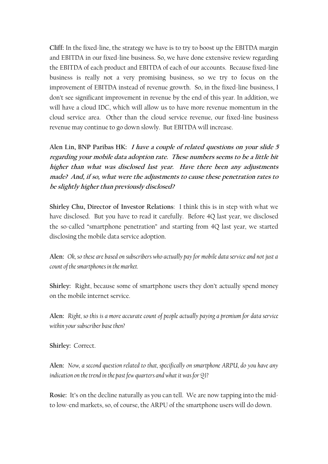**Cliff:** In the fixed-line, the strategy we have is to try to boost up the EBITDA margin and EBITDA in our fixed-line business. So, we have done extensive review regarding the EBITDA of each product and EBITDA of each of our accounts. Because fixed-line business is really not a very promising business, so we try to focus on the improvement of EBITDA instead of revenue growth. So, in the fixed-line business, I don't see significant improvement in revenue by the end of this year. In addition, we will have a cloud IDC, which will allow us to have more revenue momentum in the cloud service area. Other than the cloud service revenue, our fixed-line business revenue may continue to go down slowly. But EBITDA will increase.

**Alen Lin, BNP Paribas HK: I have a couple of related questions on your slide 5 regarding your mobile data adoption rate. These numbers seems to be a little bit higher than what was disclosed last year. Have there been any adjustments made? And, if so, what were the adjustments to cause these penetration rates to be slightly higher than previously disclosed?**

**Shirley Chu, Director of Investor Relations**:I think this is in step with what we have disclosed. But you have to read it carefully. Before 4Q last year, we disclosed the so-called "smartphone penetration" and starting from 4Q last year, we started disclosing the mobile data service adoption.

**Alen:** *Ok, so these are based on subscribers who actually pay for mobile data service and not just a count of the smartphones in the market.* 

**Shirley:** Right, because some of smartphone users they don't actually spend money on the mobile internet service.

**Alen:** *Right, so this is a more accurate count of people actually paying a premium for data service*  within your subscriber base then?

**Shirley:** Correct.

**Alen:** *Now, a second question related to that, specifically on smartphone ARPU, do you have any indication on the trend in the past few quarters and what it was for Q1?*

**Rosie:** It's on the decline naturally as you can tell. We are now tapping into the midto low-end markets, so, of course, the ARPU of the smartphone users will do down.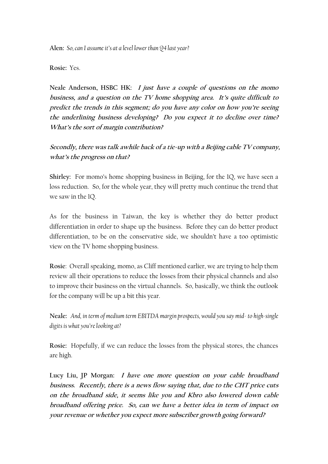**Alen:** *So, can I assume it's at a level lower than Q4 last year?*

**Rosie:** Yes.

**Neale Anderson, HSBC HK: I just have a couple of questions on the momo business, and a question on the TV home shopping area. It's quite difficult to predict the trends in this segment; do you have any color on how you're seeing the underlining business developing? Do you expect it to decline over time? What's the sort of margin contribution?**

**Secondly, there was talk awhile back of a tie-up with a Beijing cable TV company, what's the progress on that?**

**Shirley:** For momo's home shopping business in Beijing, for the 1Q, we have seen a loss reduction. So, for the whole year, they will pretty much continue the trend that we saw in the 1Q.

As for the business in Taiwan, the key is whether they do better product differentiation in order to shape up the business. Before they can do better product differentiation, to be on the conservative side, we shouldn't have a too optimistic view on the TV home shopping business.

**Rosie**: Overall speaking, momo, as Cliff mentioned earlier, we are trying to help them review all their operations to reduce the losses from their physical channels and also to improve their business on the virtual channels. So, basically, we think the outlook for the company will be up a bit this year.

**Neale:** *And, in term of medium term EBITDA margin prospects, would you say mid- to high-single digits is what you're looking at?* 

**Rosie:** Hopefully, if we can reduce the losses from the physical stores, the chances are high.

**Lucy Liu, JP Morgan: I have one more question on your cable broadband business. Recently, there is a news flow saying that, due to the CHT price cuts on the broadband side, it seems like you and Kbro also lowered down cable broadband offering price. So, can we have a better idea in term of impact on your revenue or whether you expect more subscriber growth going forward?**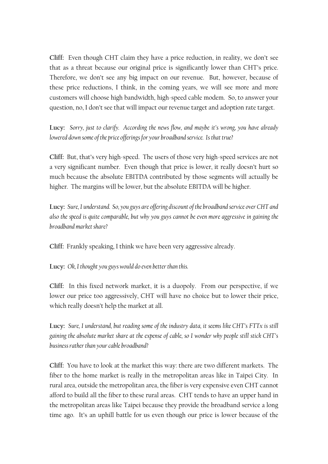**Cliff:** Even though CHT claim they have a price reduction, in reality, we don't see that as a threat because our original price is significantly lower than CHT's price. Therefore, we don't see any big impact on our revenue. But, however, because of these price reductions, I think, in the coming years, we will see more and more customers will choose high bandwidth, high-speed cable modem. So, to answer your question, no, I don't see that will impact our revenue target and adoption rate target.

**Lucy:** *Sorry, just to clarify. According the news flow, and maybe it's wrong, you have already lowered down some of the price offerings for your broadband service. Is that true?*

**Cliff:** But, that's very high-speed. The users of those very high-speed services are not a very significant number. Even though that price is lower, it really doesn't hurt so much because the absolute EBITDA contributed by those segments will actually be higher. The margins will be lower, but the absolute EBITDA will be higher.

**Lucy:** *Sure, I understand. So, you guys are offering discount of the broadband service over CHT and also the speed is quite comparable, but why you guys cannot be even more aggressive in gaining the broadband market share?*

**Cliff:** Frankly speaking, I think we have been very aggressive already.

**Lucy:** *Ok, I thought you guys would do even better than this.*

**Cliff:** In this fixed network market, it is a duopoly. From our perspective, if we lower our price too aggressively, CHT will have no choice but to lower their price, which really doesn't help the market at all.

**Lucy:** *Sure, I understand, but reading some of the industry data, it seems like CHT's FTTx is still gaining the absolute market share at the expense of cable, so I wonder why people still stick CHT's businessrather than your cable broadband?*

**Cliff:** You have to look at the market this way: there are two different markets. The fiber to the home market is really in the metropolitan areas like in Taipei City. In rural area, outside the metropolitan area, the fiber is very expensive even CHT cannot afford to build all the fiber to these rural areas. CHT tends to have an upper hand in the metropolitan areas like Taipei because they provide the broadband service a long time ago. It's an uphill battle for us even though our price is lower because of the